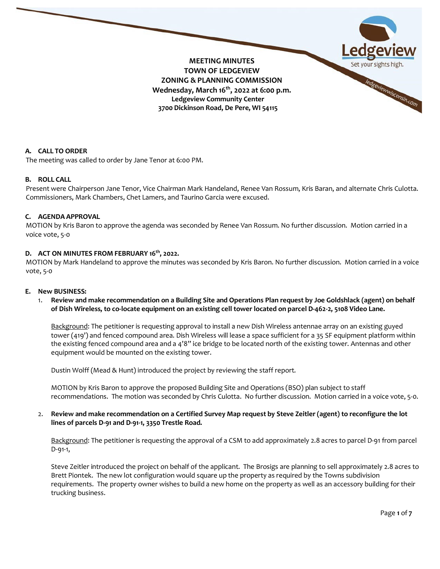

#### **A. CALL TO ORDER**

The meeting was called to order by Jane Tenor at 6:00 PM.

#### **B. ROLL CALL**

Present were Chairperson Jane Tenor, Vice Chairman Mark Handeland, Renee Van Rossum, Kris Baran, and alternate Chris Culotta. Commissioners, Mark Chambers, Chet Lamers, and Taurino Garcia were excused.

#### **C. AGENDA APPROVAL**

MOTION by Kris Baron to approve the agenda was seconded by Renee Van Rossum. No further discussion. Motion carried in a voice vote, 5-0

# **D. ACT ON MINUTES FROM FEBRUARY 16th, 2022.**

MOTION by Mark Handeland to approve the minutes was seconded by Kris Baron. No further discussion. Motion carried in a voice vote, 5-0

#### **E. New BUSINESS:**

1. **Review and make recommendation on a Building Site and Operations Plan request by Joe Goldshlack (agent) on behalf of Dish Wireless, to co-locate equipment on an existing cell tower located on parcel D-462-2, 5108 Video Lane.**

Background: The petitioner is requesting approval to install a new Dish Wireless antennae array on an existing guyed tower (419') and fenced compound area. Dish Wireless will lease a space sufficient for a 35 SF equipment platform within the existing fenced compound area and a 4'8" ice bridge to be located north of the existing tower. Antennas and other equipment would be mounted on the existing tower.

Dustin Wolff (Mead & Hunt) introduced the project by reviewing the staff report.

MOTION by Kris Baron to approve the proposed Building Site and Operations (BSO) plan subject to staff recommendations. The motion was seconded by Chris Culotta. No further discussion. Motion carried in a voice vote, 5-0.

2. **Review and make recommendation on a Certified Survey Map request by Steve Zeitler (agent) to reconfigure the lot lines of parcels D-91 and D-91-1, 3350 Trestle Road.**

Background: The petitioner is requesting the approval of a CSM to add approximately 2.8 acres to parcel D-91 from parcel D-91-1,

Steve Zeitler introduced the project on behalf of the applicant. The Brosigs are planning to sell approximately 2.8 acres to Brett Piontek. The new lot configuration would square up the property as required by the Towns subdivision requirements. The property owner wishes to build a new home on the property as well as an accessory building for their trucking business.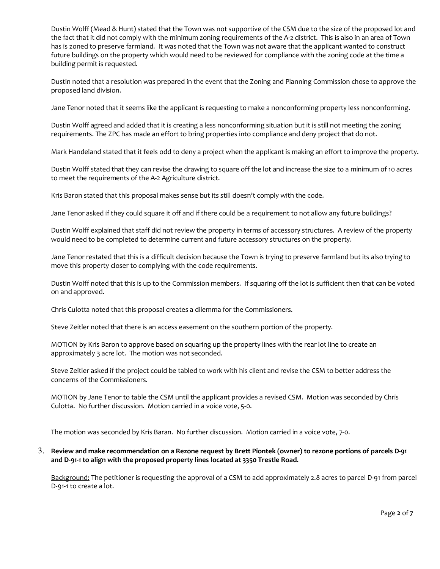Dustin Wolff (Mead & Hunt) stated that the Town was not supportive of the CSM due to the size of the proposed lot and the fact that it did not comply with the minimum zoning requirements of the A-2 district. This is also in an area of Town has is zoned to preserve farmland. It was noted that the Town was not aware that the applicant wanted to construct future buildings on the property which would need to be reviewed for compliance with the zoning code at the time a building permit is requested.

Dustin noted that a resolution was prepared in the event that the Zoning and Planning Commission chose to approve the proposed land division.

Jane Tenor noted that it seems like the applicant is requesting to make a nonconforming property less nonconforming.

Dustin Wolff agreed and added that it is creating a less nonconforming situation but it is still not meeting the zoning requirements. The ZPC has made an effort to bring properties into compliance and deny project that do not.

Mark Handeland stated that it feels odd to deny a project when the applicant is making an effort to improve the property.

Dustin Wolff stated that they can revise the drawing to square off the lot and increase the size to a minimum of 10 acres to meet the requirements of the A-2 Agriculture district.

Kris Baron stated that this proposal makes sense but its still doesn't comply with the code.

Jane Tenor asked if they could square it off and if there could be a requirement to not allow any future buildings?

Dustin Wolff explained that staff did not review the property in terms of accessory structures. A review of the property would need to be completed to determine current and future accessory structures on the property.

Jane Tenor restated that this is a difficult decision because the Town is trying to preserve farmland but its also trying to move this property closer to complying with the code requirements.

Dustin Wolff noted that this is up to the Commission members. If squaring off the lot is sufficient then that can be voted on and approved.

Chris Culotta noted that this proposal creates a dilemma for the Commissioners.

Steve Zeitler noted that there is an access easement on the southern portion of the property.

MOTION by Kris Baron to approve based on squaring up the property lines with the rear lot line to create an approximately 3 acre lot. The motion was not seconded.

Steve Zeitler asked if the project could be tabled to work with his client and revise the CSM to better address the concerns of the Commissioners.

MOTION by Jane Tenor to table the CSM until the applicant provides a revised CSM. Motion was seconded by Chris Culotta. No further discussion. Motion carried in a voice vote, 5-0.

The motion was seconded by Kris Baran. No further discussion. Motion carried in a voice vote, 7-0.

### 3. **Review and make recommendation on a Rezone request by Brett Piontek (owner) to rezone portions of parcels D-91 and D-91-1 to align with the proposed property lines located at 3350 Trestle Road.**

Background: The petitioner is requesting the approval of a CSM to add approximately 2.8 acres to parcel D-91 from parcel D-91-1 to create a lot.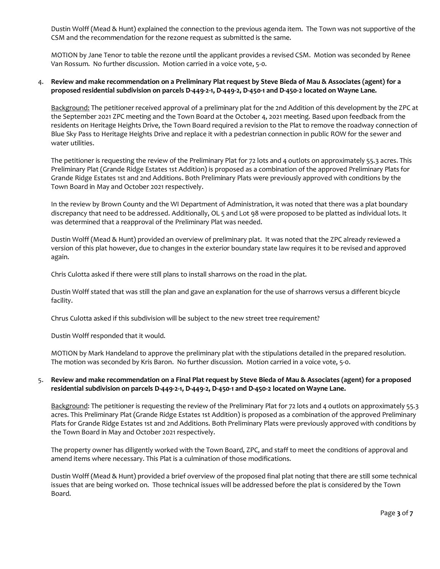Dustin Wolff (Mead & Hunt) explained the connection to the previous agenda item. The Town was not supportive of the CSM and the recommendation for the rezone request as submitted is the same.

MOTION by Jane Tenor to table the rezone until the applicant provides a revised CSM. Motion was seconded by Renee Van Rossum. No further discussion. Motion carried in a voice vote, 5-0.

### 4. **Review and make recommendation on a Preliminary Plat request by Steve Bieda of Mau & Associates (agent) for a proposed residential subdivision on parcels D-449-2-1, D-449-2, D-450-1 and D-450-2 located on Wayne Lane.**

Background: The petitioner received approval of a preliminary plat for the 2nd Addition of this development by the ZPC at the September 2021 ZPC meeting and the Town Board at the October 4, 2021 meeting. Based upon feedback from the residents on Heritage Heights Drive, the Town Board required a revision to the Plat to remove the roadway connection of Blue Sky Pass to Heritage Heights Drive and replace it with a pedestrian connection in public ROW for the sewer and water utilities.

The petitioner is requesting the review of the Preliminary Plat for 72 lots and 4 outlots on approximately 55.3 acres. This Preliminary Plat (Grande Ridge Estates 1st Addition) is proposed as a combination of the approved Preliminary Plats for Grande Ridge Estates 1st and 2nd Additions. Both Preliminary Plats were previously approved with conditions by the Town Board in May and October 2021 respectively.

In the review by Brown County and the WI Department of Administration, it was noted that there was a plat boundary discrepancy that need to be addressed. Additionally, OL 5 and Lot 98 were proposed to be platted as individual lots. It was determined that a reapproval of the Preliminary Plat was needed.

Dustin Wolff (Mead & Hunt) provided an overview of preliminary plat. It was noted that the ZPC already reviewed a version of this plat however, due to changes in the exterior boundary state law requires it to be revised and approved again.

Chris Culotta asked if there were still plans to install sharrows on the road in the plat.

Dustin Wolff stated that was still the plan and gave an explanation for the use of sharrows versus a different bicycle facility.

Chrus Culotta asked if this subdivision will be subject to the new street tree requirement?

Dustin Wolff responded that it would.

MOTION by Mark Handeland to approve the preliminary plat with the stipulations detailed in the prepared resolution. The motion was seconded by Kris Baron. No further discussion. Motion carried in a voice vote, 5-0.

# 5. **Review and make recommendation on a Final Plat request by Steve Bieda of Mau & Associates (agent) for a proposed residential subdivision on parcels D-449-2-1, D-449-2, D-450-1 and D-450-2 located on Wayne Lane.**

Background: The petitioner is requesting the review of the Preliminary Plat for 72 lots and 4 outlots on approximately 55.3 acres. This Preliminary Plat (Grande Ridge Estates 1st Addition) is proposed as a combination of the approved Preliminary Plats for Grande Ridge Estates 1st and 2nd Additions. Both Preliminary Plats were previously approved with conditions by the Town Board in May and October 2021 respectively.

The property owner has diligently worked with the Town Board, ZPC, and staff to meet the conditions of approval and amend items where necessary. This Plat is a culmination of those modifications.

Dustin Wolff (Mead & Hunt) provided a brief overview of the proposed final plat noting that there are still some technical issues that are being worked on. Those technical issues will be addressed before the plat is considered by the Town Board.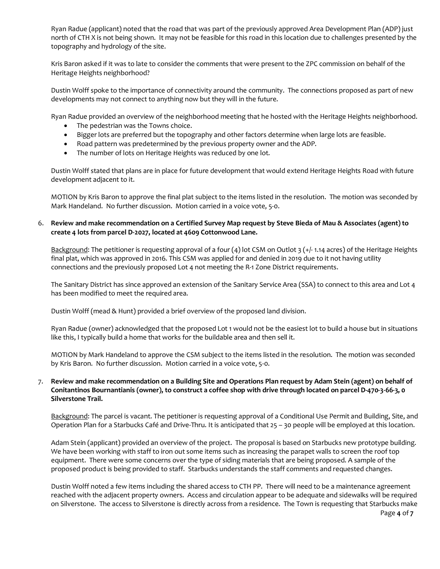Ryan Radue (applicant) noted that the road that was part of the previously approved Area Development Plan (ADP) just north of CTH X is not being shown. It may not be feasible for this road in this location due to challenges presented by the topography and hydrology of the site.

Kris Baron asked if it was to late to consider the comments that were present to the ZPC commission on behalf of the Heritage Heights neighborhood?

Dustin Wolff spoke to the importance of connectivity around the community. The connections proposed as part of new developments may not connect to anything now but they will in the future.

Ryan Radue provided an overview of the neighborhood meeting that he hosted with the Heritage Heights neighborhood.

- The pedestrian was the Towns choice.
- Bigger lots are preferred but the topography and other factors determine when large lots are feasible.
- Road pattern was predetermined by the previous property owner and the ADP.
- The number of lots on Heritage Heights was reduced by one lot.

Dustin Wolff stated that plans are in place for future development that would extend Heritage Heights Road with future development adjacent to it.

MOTION by Kris Baron to approve the final plat subject to the items listed in the resolution. The motion was seconded by Mark Handeland. No further discussion. Motion carried in a voice vote, 5-0.

## 6. **Review and make recommendation on a Certified Survey Map request by Steve Bieda of Mau & Associates (agent) to create 4 lots from parcel D-2027, located at 4609 Cottonwood Lane.**

Background: The petitioner is requesting approval of a four (4) lot CSM on Outlot 3 (+/-1.14 acres) of the Heritage Heights final plat, which was approved in 2016. This CSM was applied for and denied in 2019 due to it not having utility connections and the previously proposed Lot 4 not meeting the R-1 Zone District requirements.

The Sanitary District has since approved an extension of the Sanitary Service Area (SSA) to connect to this area and Lot 4 has been modified to meet the required area.

Dustin Wolff (mead & Hunt) provided a brief overview of the proposed land division.

Ryan Radue (owner) acknowledged that the proposed Lot 1 would not be the easiest lot to build a house but in situations like this, I typically build a home that works for the buildable area and then sell it.

MOTION by Mark Handeland to approve the CSM subject to the items listed in the resolution. The motion was seconded by Kris Baron. No further discussion. Motion carried in a voice vote, 5-0.

# 7. **Review and make recommendation on a Building Site and Operations Plan request by Adam Stein (agent) on behalf of Conitantinos Bournantianis (owner), to construct a coffee shop with drive through located on parcel D-470-3-66-3, 0 Silverstone Trail.**

Background: The parcel is vacant. The petitioner is requesting approval of a Conditional Use Permit and Building, Site, and Operation Plan for a Starbucks Café and Drive-Thru. It is anticipated that 25 – 30 people will be employed at this location.

Adam Stein (applicant) provided an overview of the project. The proposal is based on Starbucks new prototype building. We have been working with staff to iron out some items such as increasing the parapet walls to screen the roof top equipment. There were some concerns over the type of siding materials that are being proposed. A sample of the proposed product is being provided to staff. Starbucks understands the staff comments and requested changes.

Dustin Wolff noted a few items including the shared access to CTH PP. There will need to be a maintenance agreement reached with the adjacent property owners. Access and circulation appear to be adequate and sidewalks will be required on Silverstone. The access to Silverstone is directly across from a residence. The Town is requesting that Starbucks make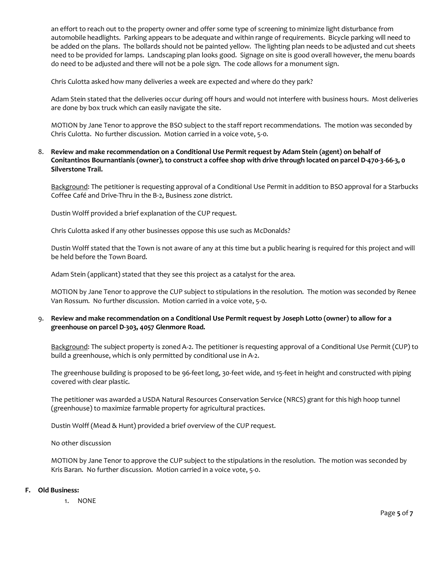an effort to reach out to the property owner and offer some type of screening to minimize light disturbance from automobile headlights. Parking appears to be adequate and within range of requirements. Bicycle parking will need to be added on the plans. The bollards should not be painted yellow. The lighting plan needs to be adjusted and cut sheets need to be provided for lamps. Landscaping plan looks good. Signage on site is good overall however, the menu boards do need to be adjusted and there will not be a pole sign. The code allows for a monument sign.

Chris Culotta asked how many deliveries a week are expected and where do they park?

Adam Stein stated that the deliveries occur during off hours and would not interfere with business hours. Most deliveries are done by box truck which can easily navigate the site.

MOTION by Jane Tenor to approve the BSO subject to the staff report recommendations. The motion was seconded by Chris Culotta. No further discussion. Motion carried in a voice vote, 5-0.

8. **Review and make recommendation on a Conditional Use Permit request by Adam Stein (agent) on behalf of Conitantinos Bournantianis (owner), to construct a coffee shop with drive through located on parcel D-470-3-66-3, 0 Silverstone Trail.**

Background: The petitioner is requesting approval of a Conditional Use Permit in addition to BSO approval for a Starbucks Coffee Café and Drive-Thru in the B-2, Business zone district.

Dustin Wolff provided a brief explanation of the CUP request.

Chris Culotta asked if any other businesses oppose this use such as McDonalds?

Dustin Wolff stated that the Town is not aware of any at this time but a public hearing is required for this project and will be held before the Town Board.

Adam Stein (applicant) stated that they see this project as a catalyst for the area.

MOTION by Jane Tenor to approve the CUP subject to stipulations in the resolution. The motion was seconded by Renee Van Rossum. No further discussion. Motion carried in a voice vote, 5-0.

9. **Review and make recommendation on a Conditional Use Permit request by Joseph Lotto (owner) to allow for a greenhouse on parcel D-303, 4057 Glenmore Road.**

Background: The subject property is zoned A-2. The petitioner is requesting approval of a Conditional Use Permit (CUP) to build a greenhouse, which is only permitted by conditional use in A-2.

The greenhouse building is proposed to be 96-feet long, 30-feet wide, and 15-feet in height and constructed with piping covered with clear plastic.

The petitioner was awarded a USDA Natural Resources Conservation Service (NRCS) grant for this high hoop tunnel (greenhouse) to maximize farmable property for agricultural practices.

Dustin Wolff (Mead & Hunt) provided a brief overview of the CUP request.

No other discussion

MOTION by Jane Tenor to approve the CUP subject to the stipulations in the resolution. The motion was seconded by Kris Baran. No further discussion. Motion carried in a voice vote, 5-0.

### **F. Old Business:**

1. NONE